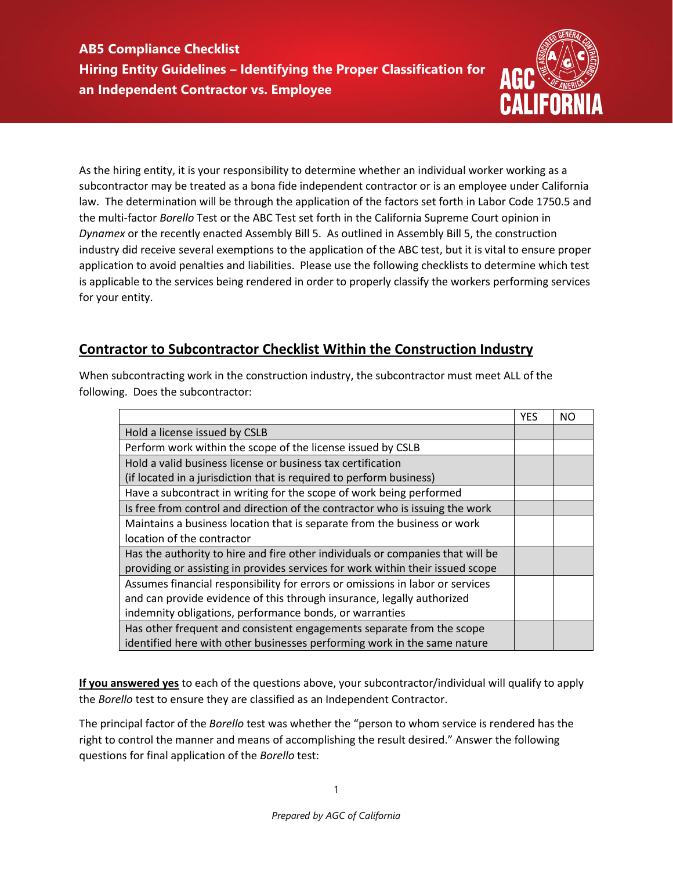

As the hiring entity, it is your responsibility to determine whether an individual worker working as a subcontractor may be treated as a bona fide independent contractor or is an employee under California law. The determination will be through the application of the factors set forth in Labor Code 1750.5 and the multi-factor *Borello* Test or the ABC Test set forth in the California Supreme Court opinion in *Dynamex* or the recently enacted Assembly Bill 5. As outlined in Assembly Bill 5, the construction industry did receive several exemptions to the application of the ABC test, but it is vital to ensure proper application to avoid penalties and liabilities. Please use the following checklists to determine which test is applicable to the services being rendered in order to properly classify the workers performing services for your entity.

## **Contractor to Subcontractor Checklist Within the Construction Industry**

When subcontracting work in the construction industry, the subcontractor must meet ALL of the following. Does the subcontractor:

|                                                                                | <b>YES</b> | NΟ |
|--------------------------------------------------------------------------------|------------|----|
| Hold a license issued by CSLB                                                  |            |    |
| Perform work within the scope of the license issued by CSLB                    |            |    |
| Hold a valid business license or business tax certification                    |            |    |
| (if located in a jurisdiction that is required to perform business)            |            |    |
| Have a subcontract in writing for the scope of work being performed            |            |    |
| Is free from control and direction of the contractor who is issuing the work   |            |    |
| Maintains a business location that is separate from the business or work       |            |    |
| location of the contractor                                                     |            |    |
| Has the authority to hire and fire other individuals or companies that will be |            |    |
| providing or assisting in provides services for work within their issued scope |            |    |
| Assumes financial responsibility for errors or omissions in labor or services  |            |    |
| and can provide evidence of this through insurance, legally authorized         |            |    |
| indemnity obligations, performance bonds, or warranties                        |            |    |
| Has other frequent and consistent engagements separate from the scope          |            |    |
| identified here with other businesses performing work in the same nature       |            |    |

**If you answered yes** to each of the questions above, your subcontractor/individual will qualify to apply the *Borello* test to ensure they are classified as an Independent Contractor.

The principal factor of the *Borello* test was whether the "person to whom service is rendered has the right to control the manner and means of accomplishing the result desired." Answer the following questions for final application of the *Borello* test: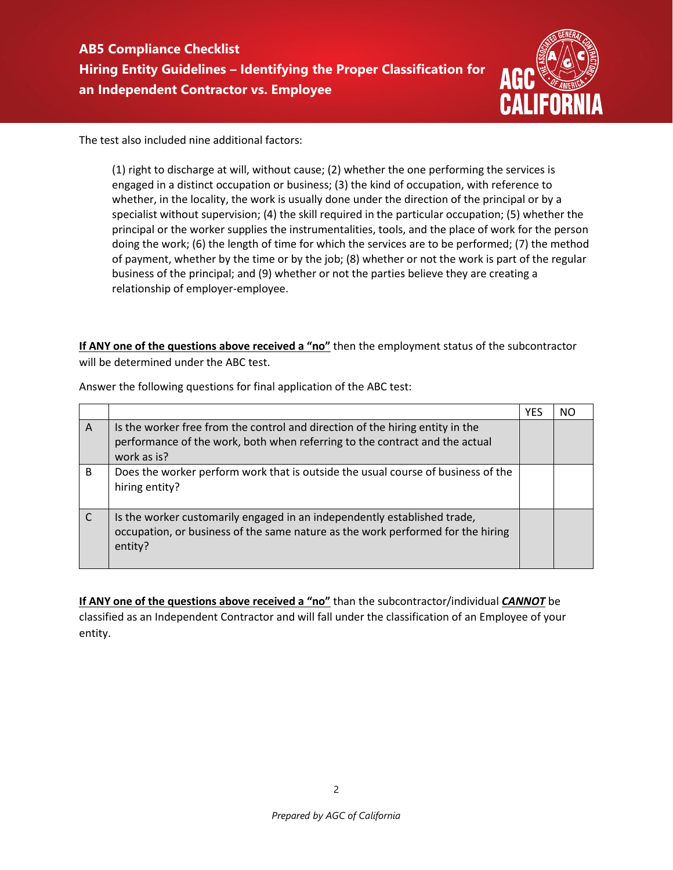

The test also included nine additional factors:

(1) right to discharge at will, without cause; (2) whether the one performing the services is engaged in a distinct occupation or business; (3) the kind of occupation, with reference to whether, in the locality, the work is usually done under the direction of the principal or by a specialist without supervision; (4) the skill required in the particular occupation; (5) whether the principal or the worker supplies the instrumentalities, tools, and the place of work for the person doing the work; (6) the length of time for which the services are to be performed; (7) the method of payment, whether by the time or by the job; (8) whether or not the work is part of the regular business of the principal; and (9) whether or not the parties believe they are creating a relationship of employer-employee.

**If ANY one of the questions above received a "no"** then the employment status of the subcontractor will be determined under the ABC test.

|   |                                                                                                                                                                             | <b>YES</b> | NC. |
|---|-----------------------------------------------------------------------------------------------------------------------------------------------------------------------------|------------|-----|
| A | Is the worker free from the control and direction of the hiring entity in the<br>performance of the work, both when referring to the contract and the actual<br>work as is? |            |     |
| B | Does the worker perform work that is outside the usual course of business of the<br>hiring entity?                                                                          |            |     |
|   | Is the worker customarily engaged in an independently established trade,<br>occupation, or business of the same nature as the work performed for the hiring<br>entity?      |            |     |

Answer the following questions for final application of the ABC test:

**If ANY one of the questions above received a "no"** than the subcontractor/individual *CANNOT* be classified as an Independent Contractor and will fall under the classification of an Employee of your entity.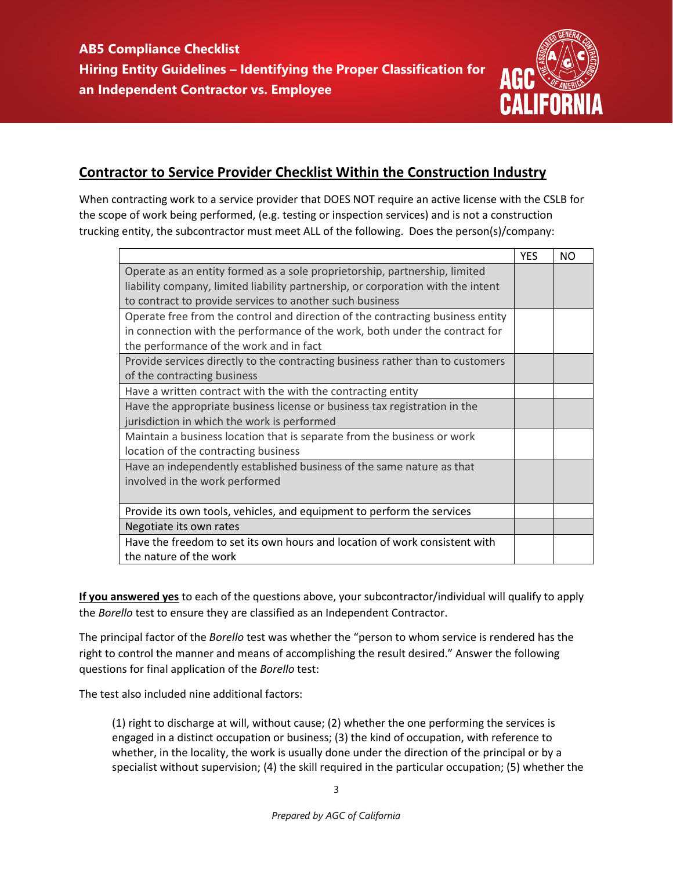

## **Contractor to Service Provider Checklist Within the Construction Industry**

When contracting work to a service provider that DOES NOT require an active license with the CSLB for the scope of work being performed, (e.g. testing or inspection services) and is not a construction trucking entity, the subcontractor must meet ALL of the following. Does the person(s)/company:

|                                                                                  | <b>YES</b> | NO. |
|----------------------------------------------------------------------------------|------------|-----|
| Operate as an entity formed as a sole proprietorship, partnership, limited       |            |     |
| liability company, limited liability partnership, or corporation with the intent |            |     |
| to contract to provide services to another such business                         |            |     |
| Operate free from the control and direction of the contracting business entity   |            |     |
| in connection with the performance of the work, both under the contract for      |            |     |
| the performance of the work and in fact                                          |            |     |
| Provide services directly to the contracting business rather than to customers   |            |     |
| of the contracting business                                                      |            |     |
| Have a written contract with the with the contracting entity                     |            |     |
| Have the appropriate business license or business tax registration in the        |            |     |
| jurisdiction in which the work is performed                                      |            |     |
| Maintain a business location that is separate from the business or work          |            |     |
| location of the contracting business                                             |            |     |
| Have an independently established business of the same nature as that            |            |     |
| involved in the work performed                                                   |            |     |
|                                                                                  |            |     |
| Provide its own tools, vehicles, and equipment to perform the services           |            |     |
| Negotiate its own rates                                                          |            |     |
| Have the freedom to set its own hours and location of work consistent with       |            |     |
| the nature of the work                                                           |            |     |

**If you answered yes** to each of the questions above, your subcontractor/individual will qualify to apply the *Borello* test to ensure they are classified as an Independent Contractor.

The principal factor of the *Borello* test was whether the "person to whom service is rendered has the right to control the manner and means of accomplishing the result desired." Answer the following questions for final application of the *Borello* test:

The test also included nine additional factors:

(1) right to discharge at will, without cause; (2) whether the one performing the services is engaged in a distinct occupation or business; (3) the kind of occupation, with reference to whether, in the locality, the work is usually done under the direction of the principal or by a specialist without supervision; (4) the skill required in the particular occupation; (5) whether the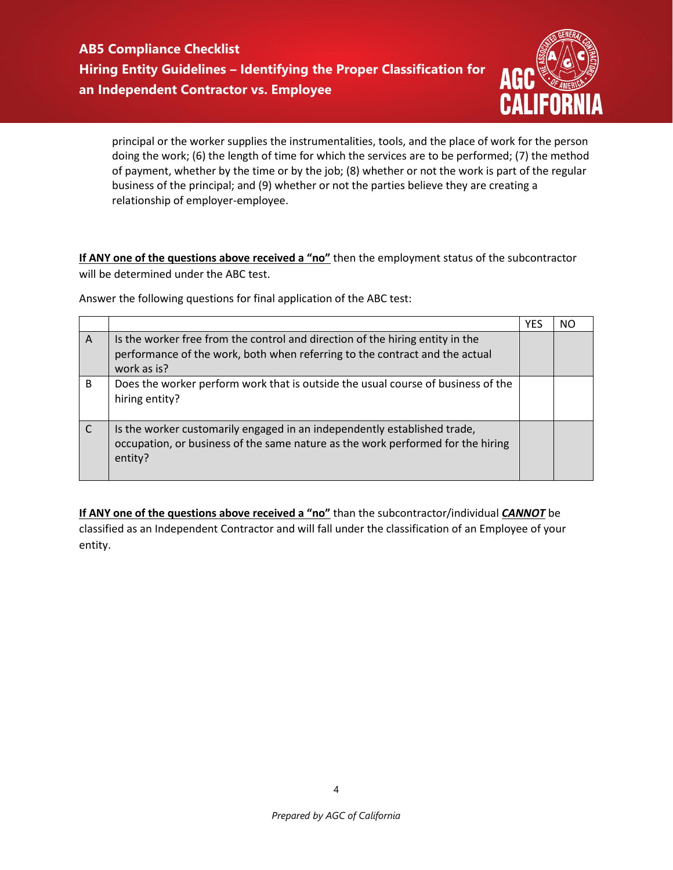**AB5 Compliance Checklist Hiring Entity Guidelines – Identifying the Proper Classification for an Independent Contractor vs. Employee** 



principal or the worker supplies the instrumentalities, tools, and the place of work for the person doing the work; (6) the length of time for which the services are to be performed; (7) the method of payment, whether by the time or by the job; (8) whether or not the work is part of the regular business of the principal; and (9) whether or not the parties believe they are creating a relationship of employer-employee.

**If ANY one of the questions above received a "no"** then the employment status of the subcontractor will be determined under the ABC test.

Answer the following questions for final application of the ABC test:

|   |                                                                                                                                                                             | <b>YES</b> | NO |
|---|-----------------------------------------------------------------------------------------------------------------------------------------------------------------------------|------------|----|
| A | Is the worker free from the control and direction of the hiring entity in the<br>performance of the work, both when referring to the contract and the actual<br>work as is? |            |    |
| B | Does the worker perform work that is outside the usual course of business of the<br>hiring entity?                                                                          |            |    |
|   | Is the worker customarily engaged in an independently established trade,<br>occupation, or business of the same nature as the work performed for the hiring<br>entity?      |            |    |

**If ANY one of the questions above received a "no"** than the subcontractor/individual **CANNOT** be classified as an Independent Contractor and will fall under the classification of an Employee of your entity.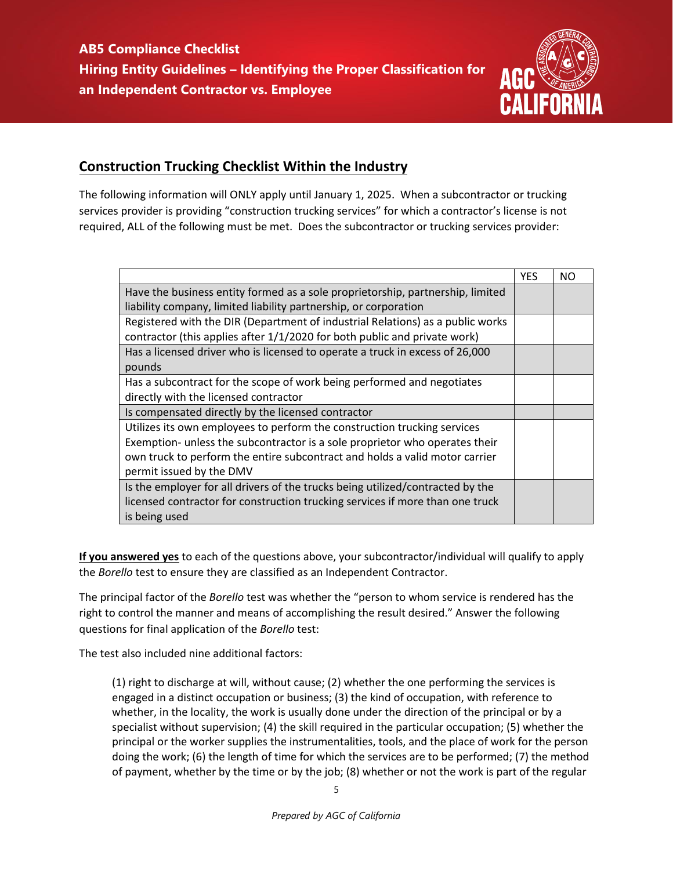

## **Construction Trucking Checklist Within the Industry**

The following information will ONLY apply until January 1, 2025. When a subcontractor or trucking services provider is providing "construction trucking services" for which a contractor's license is not required, ALL of the following must be met. Does the subcontractor or trucking services provider:

|                                                                                | <b>YES</b> | NΟ |
|--------------------------------------------------------------------------------|------------|----|
| Have the business entity formed as a sole proprietorship, partnership, limited |            |    |
| liability company, limited liability partnership, or corporation               |            |    |
| Registered with the DIR (Department of industrial Relations) as a public works |            |    |
| contractor (this applies after 1/1/2020 for both public and private work)      |            |    |
| Has a licensed driver who is licensed to operate a truck in excess of 26,000   |            |    |
| pounds                                                                         |            |    |
| Has a subcontract for the scope of work being performed and negotiates         |            |    |
| directly with the licensed contractor                                          |            |    |
| Is compensated directly by the licensed contractor                             |            |    |
| Utilizes its own employees to perform the construction trucking services       |            |    |
| Exemption- unless the subcontractor is a sole proprietor who operates their    |            |    |
| own truck to perform the entire subcontract and holds a valid motor carrier    |            |    |
| permit issued by the DMV                                                       |            |    |
| Is the employer for all drivers of the trucks being utilized/contracted by the |            |    |
| licensed contractor for construction trucking services if more than one truck  |            |    |
| is being used                                                                  |            |    |

**If you answered yes** to each of the questions above, your subcontractor/individual will qualify to apply the *Borello* test to ensure they are classified as an Independent Contractor.

The principal factor of the *Borello* test was whether the "person to whom service is rendered has the right to control the manner and means of accomplishing the result desired." Answer the following questions for final application of the *Borello* test:

The test also included nine additional factors:

(1) right to discharge at will, without cause; (2) whether the one performing the services is engaged in a distinct occupation or business; (3) the kind of occupation, with reference to whether, in the locality, the work is usually done under the direction of the principal or by a specialist without supervision; (4) the skill required in the particular occupation; (5) whether the principal or the worker supplies the instrumentalities, tools, and the place of work for the person doing the work; (6) the length of time for which the services are to be performed; (7) the method of payment, whether by the time or by the job; (8) whether or not the work is part of the regular